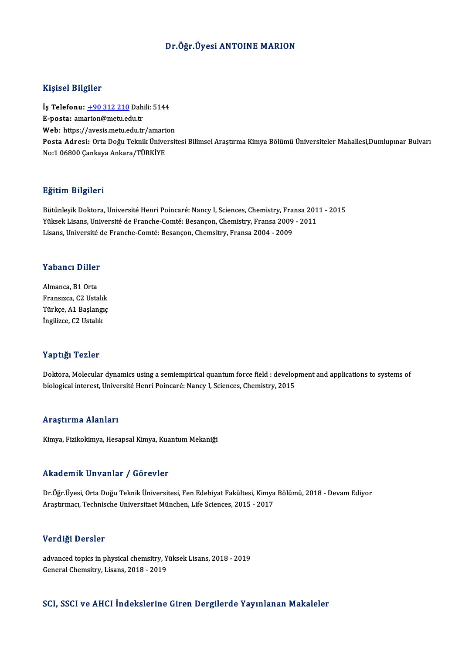## Dr.Öğr.Üyesi ANTOINE MARION

## Kişisel Bilgiler

Kişisel Bilgiler<br>İş Telefonu: <u>+90 312 210</u> Dahili: 5144<br>E nosta: amarian@matu.edu.tr 11191001 Dirgitor<br>İş Telefonu: <u>+90 312 210</u> Dahi<br>E-posta: am[arion@metu.ed](tel:+90 312 210)u.tr İş Telefonu: <u>+90 312 210</u> Dahili: 5144<br>E-posta: amarion@metu.edu.tr<br>Web: https://avesis.metu.edu.tr/amarion<br>Posta Adrasi: Orta Doğu Telmik Üniversit E-posta: amarion@metu.edu.tr<br>Web: https://avesis.metu.edu.tr/amarion<br>Posta Adresi: Orta Doğu Teknik Üniversitesi Bilimsel Araştırma Kimya Bölümü Üniversiteler Mahallesi,Dumlupınar Bulvarı<br>No:1 06800 Cankava Ankara (Tüpkiye Web: https://avesis.metu.edu.tr/amari<br>Posta Adresi: Orta Doğu Teknik Ünive<br>No:1 06800 Çankaya Ankara/TÜRKİYE

### Eğitim Bilgileri

**Eğitim Bilgileri**<br>Bütünleşik Doktora, Université Henri Poincaré: Nancy I, Sciences, Chemistry, Fransa 2011 - 2015<br>Yüksek Lisans, Université de Franche Comté: Besansan, Chemistry, Fransa 2009 - 2011 1919 – Lignon<br>Bütünleşik Doktora, Université Henri Poincaré: Nancy I, Sciences, Chemistry, Fransa 201<br>Yüksek Lisans, Université de Franche-Comté: Besançon, Chemistry, Fransa 2009 - 2011<br>Lisans, Université de Franche Comté: Bütünleşik Doktora, Université Henri Poincaré: Nancy I, Sciences, Chemistry, Fra<br>Yüksek Lisans, Université de Franche-Comté: Besançon, Chemistry, Fransa 2009<br>Lisans, Université de Franche-Comté: Besançon, Chemsitry, Fransa

# Lisans, oniversite d<br>Yabancı Diller

**Yabancı Diller**<br>Almanca, B1 Orta<br>Enanguze, C2 Usta Almanca, B1 Orta<br>Fransızca, C2 Ustalık Türkçe, A1 Başlangıç İngilizce, C2 Ustalık

### Yaptığı Tezler

Doktora, Molecular dynamics using a semiempirical quantum force field : development and applications to systems of biological interest, Université Henri Poincaré: Nancy I, Sciences, Chemistry, 2015

## Araştırma Alanları

Kimya, Fizikokimya, Hesapsal Kimya, Kuantum Mekaniği

## Akademik Unvanlar / Görevler

Akademik Unvanlar / Görevler<br>Dr.Öğr.Üyesi, Orta Doğu Teknik Üniversitesi, Fen Edebiyat Fakültesi, Kimya Bölümü, 2018 - Devam Ediyor<br>Arastırması, Technische Universitest München, Life Ssienses, 2015 - 2017 Arasta Sirin, Sirvaniar II. der svier<br>Dr.Öğr.Üyesi, Orta Doğu Teknik Üniversitesi, Fen Edebiyat Fakültesi, Kimya<br>Araştırmacı, Technische Universitaet München, Life Sciences, 2015 - 2017 Araştırmacı, Technische Universitaet München, Life Sciences, 2015 - 2017<br>Verdiği Dersler

Verdiği Dersler<br>advanced topics in physical chemsitry, Yüksek Lisans, 2018 - 2019<br>Ceneral Chemsitry, Lisans, 2018 - 2019 **The arge Defence**<br>advanced topics in physical chemsitry, Y<br>General Chemsitry, Lisans, 2018 - 2019

## General Chemsitry, Lisans, 2018 - 2019<br>SCI, SSCI ve AHCI İndekslerine Giren Dergilerde Yayınlanan Makaleler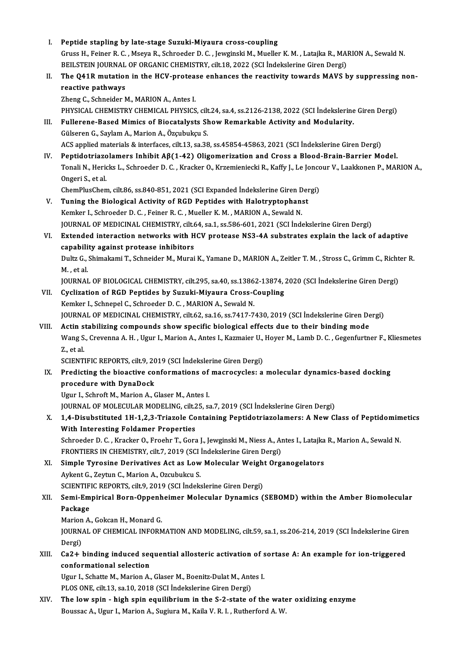| L           | Peptide stapling by late-stage Suzuki-Miyaura cross-coupling                                                            |
|-------------|-------------------------------------------------------------------------------------------------------------------------|
|             | Gruss H., Feiner R. C., Mseya R., Schroeder D. C., Jewginski M., Mueller K. M., Latajka R., MARION A., Sewald N         |
|             | BEILSTEIN JOURNAL OF ORGANIC CHEMISTRY, cilt.18, 2022 (SCI Indekslerine Giren Dergi)                                    |
|             | The Q41R mutation in the HCV-protease enhances the reactivity towards MAVS by suppressing non-                          |
| Н.          |                                                                                                                         |
|             | reactive pathways                                                                                                       |
|             | Zheng C., Schneider M., MARION A., Antes I.                                                                             |
|             | PHYSICAL CHEMISTRY CHEMICAL PHYSICS, cilt.24, sa.4, ss.2126-2138, 2022 (SCI İndekslerine Giren Dergi)                   |
| III.<br>IV. | Fullerene-Based Mimics of Biocatalysts Show Remarkable Activity and Modularity.                                         |
|             | Gülseren G., Saylam A., Marion A., Özçubukçu S.                                                                         |
|             | ACS applied materials & interfaces, cilt.13, sa.38, ss.45854-45863, 2021 (SCI İndekslerine Giren Dergi)                 |
|             | Peptidotriazolamers Inhibit $A\beta(1-42)$ Oligomerization and Cross a Blood-Brain-Barrier Model.                       |
|             | Tonali N., Hericks L., Schroeder D. C., Kracker O., Krzemieniecki R., Kaffy J., Le Joncour V., Laakkonen P., MARION A., |
|             | Ongeri S, et al.                                                                                                        |
|             | ChemPlusChem, cilt.86, ss.840-851, 2021 (SCI Expanded İndekslerine Giren Dergi)                                         |
| V.          | Tuning the Biological Activity of RGD Peptides with Halotryptophanst                                                    |
|             | Kemker I., Schroeder D. C., Feiner R. C., Mueller K. M., MARION A., Sewald N.                                           |
|             | JOURNAL OF MEDICINAL CHEMISTRY, cilt.64, sa.1, ss.586-601, 2021 (SCI Indekslerine Giren Dergi)                          |
| VI.         | Extended interaction networks with HCV protease NS3-4A substrates explain the lack of adaptive                          |
|             | capability against protease inhibitors                                                                                  |
|             | Dultz G., Shimakami T., Schneider M., Murai K., Yamane D., MARION A., Zeitler T. M., Stross C., Grimm C., Richter R.    |
|             | M., et al.                                                                                                              |
|             | JOURNAL OF BIOLOGICAL CHEMISTRY, cilt.295, sa.40, ss.13862-13874, 2020 (SCI İndekslerine Giren Dergi)                   |
| VII.        | Cyclization of RGD Peptides by Suzuki-Miyaura Cross-Coupling                                                            |
|             | Kemker I., Schnepel C., Schroeder D. C., MARION A., Sewald N.                                                           |
|             | JOURNAL OF MEDICINAL CHEMISTRY, cilt.62, sa.16, ss.7417-7430, 2019 (SCI İndekslerine Giren Dergi)                       |
| VIII.       | Actin stabilizing compounds show specific biological effects due to their binding mode                                  |
|             | Wang S., Crevenna A. H., Ugur I., Marion A., Antes I., Kazmaier U., Hoyer M., Lamb D. C., Gegenfurtner F., Kliesmetes   |
|             | Z, et al.                                                                                                               |
|             | SCIENTIFIC REPORTS, cilt.9, 2019 (SCI Indekslerine Giren Dergi)                                                         |
| IX.         | Predicting the bioactive conformations of macrocycles: a molecular dynamics-based docking                               |
|             | procedure with DynaDock                                                                                                 |
|             | Ugur I., Schroft M., Marion A., Glaser M., Antes I.                                                                     |
|             | JOURNAL OF MOLECULAR MODELING, cilt.25, sa.7, 2019 (SCI İndekslerine Giren Dergi)                                       |
| Х.          | 1,4-Disubstituted 1H-1,2,3-Triazole Containing Peptidotriazolamers: A New Class of Peptidomimetics                      |
|             | With Interesting Foldamer Properties                                                                                    |
|             | Schroeder D. C., Kracker O., Froehr T., Gora J., Jewginski M., Niess A., Antes I., Latajka R., Marion A., Sewald N.     |
|             | FRONTIERS IN CHEMISTRY, cilt.7, 2019 (SCI İndekslerine Giren Dergi)                                                     |
| XI.         | Simple Tyrosine Derivatives Act as Low Molecular Weight Organogelators                                                  |
|             | Aykent G., Zeytun C., Marion A., Ozcubukcu S.                                                                           |
|             | SCIENTIFIC REPORTS, cilt.9, 2019 (SCI İndekslerine Giren Dergi)                                                         |
| XII.        | Semi-Empirical Born-Oppenheimer Molecular Dynamics (SEBOMD) within the Amber Biomolecular                               |
|             | Package                                                                                                                 |
|             | Marion A., Gokcan H., Monard G.                                                                                         |
|             | JOURNAL OF CHEMICAL INFORMATION AND MODELING, cilt.59, sa.1, ss.206-214, 2019 (SCI Indekslerine Giren                   |
|             | Dergi)                                                                                                                  |
| XIII.       | Ca2+ binding induced sequential allosteric activation of sortase A: An example for ion-triggered                        |
|             | conformational selection                                                                                                |
|             | Ugur I., Schatte M., Marion A., Glaser M., Boenitz-Dulat M., Antes I.                                                   |
|             | PLOS ONE, cilt.13, sa.10, 2018 (SCI Indekslerine Giren Dergi)                                                           |
| XIV.        | The low spin - high spin equilibrium in the S-2-state of the water oxidizing enzyme                                     |
|             | Boussac A., Ugur I., Marion A., Sugiura M., Kaila V. R. I., Rutherford A. W.                                            |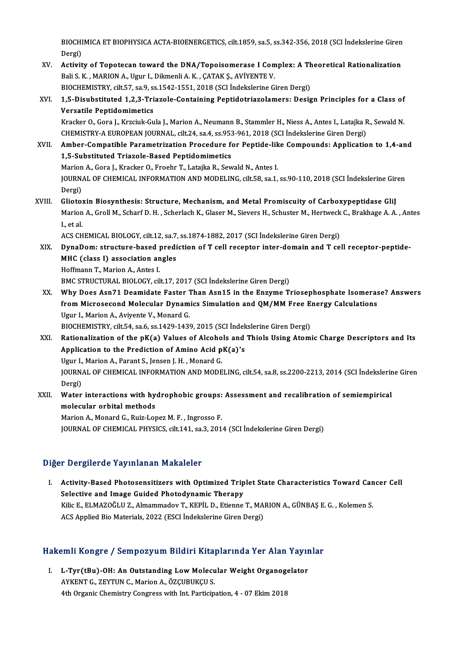BIOCHIMICA ET BIOPHYSICA ACTA-BIOENERGETICS, cilt.1859, sa.5, ss.342-356, 2018 (SCI İndekslerine Giren<br>Persi BIOCHI<br>Dergi)<br>Activit BIOCHIMICA ET BIOPHYSICA ACTA-BIOENERGETICS, cilt.1859, sa.5, ss.342-356, 2018 (SCI Indekslerine Giren<br>Dergi)<br>XV. Activity of Topotecan toward the DNA/Topoisomerase I Complex: A Theoretical Rationalization<br>Beli S. K. MARIO

- Dergi)<br><mark>Activity of Topotecan toward the DNA/Topoisomerase I Com</mark><br>Bali S. K. , MARION A., Ugur I., Dikmenli A. K. , ÇATAK Ş., AVİYENTE V.<br>PIOCHEMISTRY, silt 57, sa Q. sa 1542, 1551, 2019 (SCI İndekalerine G. Activity of Topotecan toward the DNA/Topoisomerase I Complex: A Th<br>Bali S. K. , MARION A., Ugur I., Dikmenli A. K. , ÇATAK Ş., AVİYENTE V.<br>BIOCHEMISTRY, cilt.57, sa.9, ss.1542-1551, 2018 (SCI İndekslerine Giren Dergi)<br>1.5. Bali S. K. , MARION A., Ugur I., Dikmenli A. K. , ÇATAK Ş., AVİYENTE V.<br>BIOCHEMISTRY, cilt.57, sa.9, ss.1542-1551, 2018 (SCI İndekslerine Giren Dergi)<br>XVI. 1,5-Disubstituted 1,2,3-Triazole-Containing Peptidotriazolamers: D
- BIOCHEMISTRY, cilt.57, sa.9, ss.1542-1551, 2018 (SCI İndekslerine Giren Dergi)<br>1,5-Disubstituted 1,2,3-Triazole-Containing Peptidotriazolamers: Design Principles for a Class of<br>Versatile Peptidomimetics<br>Kracker O., Gora J. 1,5-Disubstituted 1,2,3-Triazole-Containing Peptidotriazolamers: Design Principles for a Class of<br>Versatile Peptidomimetics<br>Kracker O., Gora J., Krzciuk-Gula J., Marion A., Neumann B., Stammler H., Niess A., Antes I., Lata

CHEMISTRY-AEUROPEANJOURNAL, cilt.24, sa.4, ss.953-961,2018 (SCI İndekslerineGirenDergi) Kracker O., Gora J., Krzciuk-Gula J., Marion A., Neumann B., Stammler H., Niess A., Antes I., Latajka R., Sewald N.<br>CHEMISTRY-A EUROPEAN JOURNAL, cilt.24, sa.4, ss.953-961, 2018 (SCI İndekslerine Giren Dergi)<br>XVII. Amber-C

CHEMISTRY-A EUROPEAN JOURNAL, cilt.24, sa.4, ss.953<br>Amber-Compatible Parametrization Procedure fo<br>1,5-Substituted Triazole-Based Peptidomimetics<br>Marian A. Cara L. Kraskar O. Erechn T. Lataika B. Sou Amber-Compatible Parametrization Procedure for Peptide-lik<br>1,5-Substituted Triazole-Based Peptidomimetics<br>Marion A., Gora J., Kracker O., Froehr T., Latajka R., Sewald N., Antes I.<br>JOUPMAL OF CHEMICAL INFORMATION AND MODEL 1,5-Substituted Triazole-Based Peptidomimetics<br>Marion A., Gora J., Kracker O., Froehr T., Latajka R., Sewald N., Antes I.<br>JOURNAL OF CHEMICAL INFORMATION AND MODELING, cilt.58, sa.1, ss.90-110, 2018 (SCI İndekslerine Giren

Marion<br>JOURN<br>Dergi)<br>Cliete: JOURNAL OF CHEMICAL INFORMATION AND MODELING, cilt.58, sa.1, ss.90-110, 2018 (SCI Indekslerine Gir<br>Dergi)<br>XVIII. Gliotoxin Biosynthesis: Structure, Mechanism, and Metal Promiscuity of Carboxypeptidase GliJ<br>Marian A. Croll

Dergi)<br>Gliotoxin Biosynthesis: Structure, Mechanism, and Metal Promiscuity of Carboxypeptidase GliJ<br>Marion A., Groll M., Scharf D. H. , Scherlach K., Glaser M., Sievers H., Schuster M., Hertweck C., Brakhage A. A. , Antes<br> Glioto:<br>Marion<br>I., et al.<br>ACS CH Marion A., Groll M., Scharf D. H. , Scherlach K., Glaser M., Sievers H., Schuster M., Hertweck<br>I., et al.<br>ACS CHEMICAL BIOLOGY, cilt.12, sa.7, ss.1874-1882, 2017 (SCI İndekslerine Giren Dergi)<br>Duna Demi etnusture, based pr

- XI., et al.<br>ACS CHEMICAL BIOLOGY, cilt.12, sa.7, ss.1874-1882, 2017 (SCI İndekslerine Giren Dergi)<br>XIX. DynaDom: structure-based prediction of T cell receptor inter-domain and T cell receptor-peptide-<br>MUC (class I) ass ACS CHEMICAL BIOLOGY, cilt.12, sa.7,<br>DynaDom: structure-based predi<br>MHC (class I) association angles<br>Hoffmann T. Marian A. Artas I DynaDom: structure-based<br>MHC (class I) association an<br>Hoffmann T., Marion A., Antes I.<br>PMC STRUCTURAL RIOLOCY SU MHC (class I) association angles<br>Hoffmann T., Marion A., Antes I.<br>BMC STRUCTURAL BIOLOGY, cilt.17, 2017 (SCI İndekslerine Giren Dergi) Hoffmann T., Marion A., Antes I.<br>BMC STRUCTURAL BIOLOGY, cilt.17, 2017 (SCI İndekslerine Giren Dergi)<br>XX. Why Does Asn71 Deamidate Faster Than Asn15 in the Enzyme Triosephosphate Isomerase? Answers<br>from Misroscocond Mo
- BMC STRUCTURAL BIOLOGY, cilt.17, 2017 (SCI İndekslerine Giren Dergi)<br>Why Does Asn71 Deamidate Faster Than Asn15 in the Enzyme Triosephosphate Isomeras<br>from Microsecond Molecular Dynamics Simulation and QM/MM Free Energy Ca Why Does Asn71 Deamidate Faster 1<br>from Microsecond Molecular Dynam<br>Ugur I., Marion A., Aviyente V., Monard G.<br>PIOCHEMISTRY 6<sup>11</sup>54, 826, 821429,1428 from Microsecond Molecular Dynamics Simulation and QM/MM Free Energy Calculations<br>Ugur I., Marion A., Aviyente V., Monard G.<br>BIOCHEMISTRY, cilt.54, sa.6, ss.1429-1439, 2015 (SCI İndekslerine Giren Dergi)

Ugur I., Marion A., Aviyente V., Monard G.<br>BIOCHEMISTRY, cilt.54, sa.6, ss.1429-1439, 2015 (SCI İndekslerine Giren Dergi)<br>XXI. Rationalization of the pK(a) Values of Alcohols and Thiols Using Atomic Charge Descriptors and BIOCHEMISTRY, cilt.54, sa.6, ss.1429-1439, 2015 (SCI Indek<br>Rationalization of the pK(a) Values of Alcohols and<br>Application to the Prediction of Amino Acid pK(a)'s<br>Haur L Marion A. Barant S. Jorsen L.H. Manard G. Rationalization of the pK(a) Values of Alcoho<br>Application to the Prediction of Amino Acid p<br>Ugur I., Marion A., Parant S., Jensen J. H. , Monard G.<br>JOUPMAL OF CHEMICAL INFORMATION AND MODE Application to the Prediction of Amino Acid pK(a)'s<br>Ugur I., Marion A., Parant S., Jensen J. H. , Monard G.<br>JOURNAL OF CHEMICAL INFORMATION AND MODELING, cilt.54, sa.8, ss.2200-2213, 2014 (SCI İndekslerine Giren<br>Dergi) Ugur I., Marion A., Parant S., Jensen J. H., Monard G.

JOURNAL OF CHEMICAL INFORMATION AND MODELING, cilt.54, sa.8, ss.2200-2213, 2014 (SCI indekslerir<br>Dergi)<br>XXII. Water interactions with hydrophobic groups: Assessment and recalibration of semiempirical<br>molecular erbital meth Dergi)<br>Water interactions with hy<br>molecular orbital methods<br>Marian A Manard C. Buiz Leo Water interactions with hydrophobic groups:<br>molecular orbital methods<br>Marion A., Monard G., Ruiz-Lopez M. F. , Ingrosso F.<br>JOUPMAL OF CHEMICAL PHYSICS sit:141.38.2.201

molecular orbital methods<br>Marion A., Monard G., Ruiz-Lopez M. F. , Ingrosso F.<br>JOURNAL OF CHEMICAL PHYSICS, cilt.141, sa.3, 2014 (SCI İndekslerine Giren Dergi)

## Diğer Dergilerde Yayınlanan Makaleler

Iger Dergilerde Yayınlanan Makaleler<br>I. Activity-Based Photosensitizers with Optimized Triplet State Characteristics Toward Cancer Cell<br>Selective and Image Cuided Photodynamia Therepy Selective and Image Guided Photodynamic Therapy<br>Selective and Image Guided Photodynamic Therapy<br>Vilia E. ELMAZOČLU Z. Almammadov T. KEPU. D. Frienne Activity-Based Photosensitizers with Optimized Triplet State Characteristics Toward Can<br>Selective and Image Guided Photodynamic Therapy<br>Kilic E., ELMAZOĞLU Z., Almammadov T., KEPİL D., Etienne T., MARION A., GÜNBAŞ E. G. , Selective and Image Guided Photodynamic Therapy<br>Kilic E., ELMAZOĞLU Z., Almammadov T., KEPİL D., Etienne T., MA<br>ACS Applied Bio Materials, 2022 (ESCI İndekslerine Giren Dergi)

# Acs Applied Bio Materials, 2022 (ESCI Indeksierine Giren Dergi)<br>Hakemli Kongre / Sempozyum Bildiri Kitaplarında Yer Alan Yayınlar

akemli Kongre / Sempozyum Bildiri Kitaplarında Yer Alan Yayır<br>I. L-Tyr(tBu)-OH: An Outstanding Low Molecular Weight Organogelator AYKENTG.,ZEYTUNC.,MarionA.,ÖZÇUBUKÇUS. L-Tyr(tBu)-OH: An Outstanding Low Molecular Weight Organog<br>AYKENT G., ZEYTUN C., Marion A., ÖZÇUBUKÇU S.<br>4th Organic Chemistry Congress with Int. Participation, 4 - 07 Ekim 2018